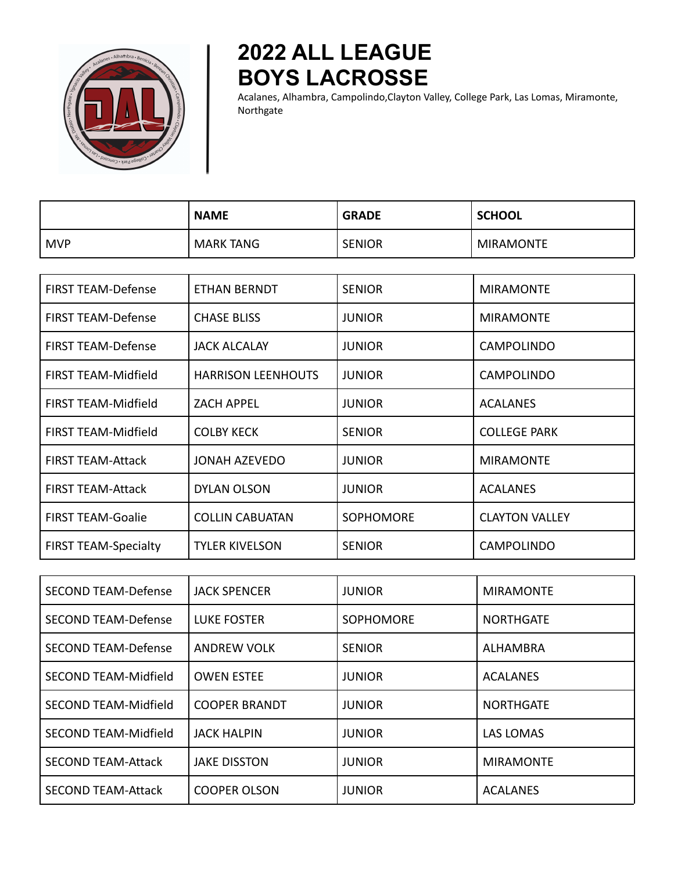

## **2022 ALL LEAGUE BOYS LACROSSE**

Acalanes, Alhambra, Campolindo,Clayton Valley, College Park, Las Lomas, Miramonte, Northgate

|                           | <b>NAME</b>         | <b>GRADE</b>   | <b>SCHOOL</b>    |
|---------------------------|---------------------|----------------|------------------|
| l MVP                     | <b>MARK TANG</b>    | <b>SENIOR</b>  | <b>MIRAMONTE</b> |
|                           |                     |                |                  |
| FIRST TEAM-Defense        | <b>ETHAN BERNDT</b> | <b>SENIOR</b>  | <b>MIRAMONTE</b> |
| <b>FIRST TFAM-Defense</b> | CHASE RUSS          | <b>ILINIOR</b> | <b>MIRAMONTE</b> |

| <b>FIRST TEAM-Defense</b>   | <b>CHASE BLISS</b>        | <b>JUNIOR</b>    | <b>MIRAMONTE</b>      |
|-----------------------------|---------------------------|------------------|-----------------------|
| <b>FIRST TEAM-Defense</b>   | <b>JACK ALCALAY</b>       | <b>JUNIOR</b>    | <b>CAMPOLINDO</b>     |
| <b>FIRST TEAM-Midfield</b>  | <b>HARRISON LEENHOUTS</b> | <b>JUNIOR</b>    | <b>CAMPOLINDO</b>     |
| <b>FIRST TEAM-Midfield</b>  | <b>ZACH APPEL</b>         | <b>JUNIOR</b>    | <b>ACALANES</b>       |
| <b>FIRST TEAM-Midfield</b>  | <b>COLBY KECK</b>         | <b>SENIOR</b>    | <b>COLLEGE PARK</b>   |
| <b>FIRST TEAM-Attack</b>    | <b>JONAH AZEVEDO</b>      | <b>JUNIOR</b>    | <b>MIRAMONTE</b>      |
| <b>FIRST TEAM-Attack</b>    | <b>DYLAN OLSON</b>        | <b>JUNIOR</b>    | <b>ACALANES</b>       |
| <b>FIRST TEAM-Goalie</b>    | <b>COLLIN CABUATAN</b>    | <b>SOPHOMORE</b> | <b>CLAYTON VALLEY</b> |
| <b>FIRST TEAM-Specialty</b> | <b>TYLER KIVELSON</b>     | <b>SENIOR</b>    | <b>CAMPOLINDO</b>     |

| <b>SECOND TEAM-Defense</b>  | <b>JACK SPENCER</b>  | <b>JUNIOR</b>    | <b>MIRAMONTE</b> |
|-----------------------------|----------------------|------------------|------------------|
| <b>SECOND TEAM-Defense</b>  | <b>LUKE FOSTER</b>   | <b>SOPHOMORE</b> | <b>NORTHGATE</b> |
| <b>SECOND TEAM-Defense</b>  | <b>ANDREW VOLK</b>   | <b>SENIOR</b>    | ALHAMBRA         |
| <b>SECOND TEAM-Midfield</b> | <b>OWEN ESTEE</b>    | <b>JUNIOR</b>    | <b>ACALANES</b>  |
| <b>SECOND TEAM-Midfield</b> | <b>COOPER BRANDT</b> | <b>JUNIOR</b>    | <b>NORTHGATE</b> |
| <b>SECOND TEAM-Midfield</b> | <b>JACK HALPIN</b>   | <b>JUNIOR</b>    | <b>LAS LOMAS</b> |
| <b>SECOND TEAM-Attack</b>   | <b>JAKE DISSTON</b>  | <b>JUNIOR</b>    | <b>MIRAMONTE</b> |
| <b>SECOND TEAM-Attack</b>   | <b>COOPER OLSON</b>  | <b>JUNIOR</b>    | <b>ACALANES</b>  |